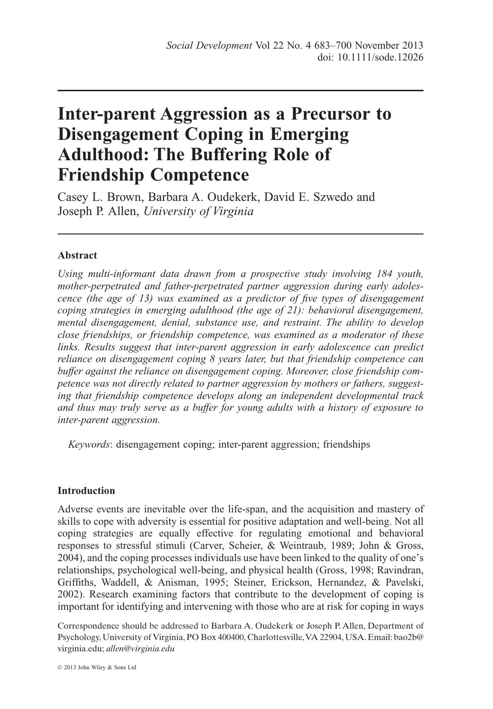# **Inter-parent Aggression as a Precursor to Disengagement Coping in Emerging Adulthood: The Buffering Role of Friendship Competence**

Casey L. Brown, Barbara A. Oudekerk, David E. Szwedo and Joseph P. Allen, *University of Virginia*

# **Abstract**

*Using multi-informant data drawn from a prospective study involving 184 youth, mother-perpetrated and father-perpetrated partner aggression during early adolescence (the age of 13) was examined as a predictor of five types of disengagement coping strategies in emerging adulthood (the age of 21): behavioral disengagement, mental disengagement, denial, substance use, and restraint. The ability to develop close friendships, or friendship competence, was examined as a moderator of these links. Results suggest that inter-parent aggression in early adolescence can predict reliance on disengagement coping 8 years later, but that friendship competence can buffer against the reliance on disengagement coping. Moreover, close friendship competence was not directly related to partner aggression by mothers or fathers, suggesting that friendship competence develops along an independent developmental track and thus may truly serve as a buffer for young adults with a history of exposure to inter-parent aggression.*

*Keywords*: disengagement coping; inter-parent aggression; friendships

# **Introduction**

Adverse events are inevitable over the life-span, and the acquisition and mastery of skills to cope with adversity is essential for positive adaptation and well-being. Not all coping strategies are equally effective for regulating emotional and behavioral responses to stressful stimuli (Carver, Scheier, & Weintraub, 1989; John & Gross, 2004), and the coping processes individuals use have been linked to the quality of one's relationships, psychological well-being, and physical health (Gross, 1998; Ravindran, Griffiths, Waddell, & Anisman, 1995; Steiner, Erickson, Hernandez, & Pavelski, 2002). Research examining factors that contribute to the development of coping is important for identifying and intervening with those who are at risk for coping in ways

Correspondence should be addressed to Barbara A. Oudekerk or Joseph P. Allen, Department of Psychology, University of Virginia, PO Box 400400, Charlottesville,VA 22904, USA. Email: bao2b@ virginia.edu; *allen@virginia.edu*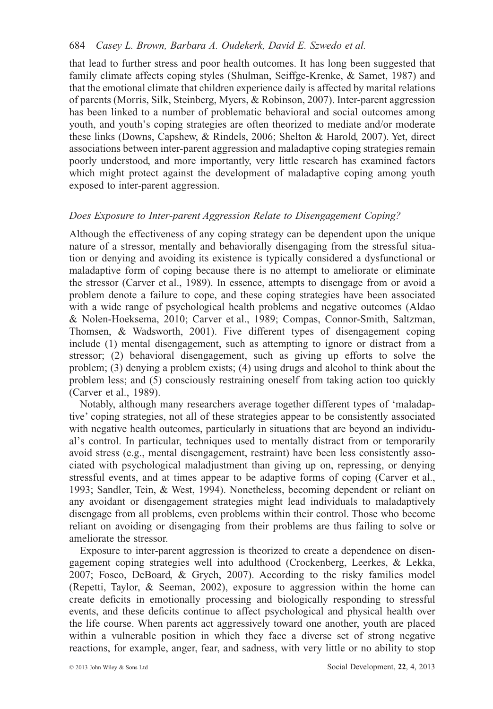that lead to further stress and poor health outcomes. It has long been suggested that family climate affects coping styles (Shulman, Seiffge-Krenke, & Samet, 1987) and that the emotional climate that children experience daily is affected by marital relations of parents (Morris, Silk, Steinberg, Myers, & Robinson, 2007). Inter-parent aggression has been linked to a number of problematic behavioral and social outcomes among youth, and youth's coping strategies are often theorized to mediate and/or moderate these links (Downs, Capshew, & Rindels, 2006; Shelton & Harold, 2007). Yet, direct associations between inter-parent aggression and maladaptive coping strategies remain poorly understood, and more importantly, very little research has examined factors which might protect against the development of maladaptive coping among youth exposed to inter-parent aggression.

#### *Does Exposure to Inter-parent Aggression Relate to Disengagement Coping?*

Although the effectiveness of any coping strategy can be dependent upon the unique nature of a stressor, mentally and behaviorally disengaging from the stressful situation or denying and avoiding its existence is typically considered a dysfunctional or maladaptive form of coping because there is no attempt to ameliorate or eliminate the stressor (Carver et al., 1989). In essence, attempts to disengage from or avoid a problem denote a failure to cope, and these coping strategies have been associated with a wide range of psychological health problems and negative outcomes (Aldao & Nolen-Hoeksema, 2010; Carver et al., 1989; Compas, Connor-Smith, Saltzman, Thomsen, & Wadsworth, 2001). Five different types of disengagement coping include (1) mental disengagement, such as attempting to ignore or distract from a stressor; (2) behavioral disengagement, such as giving up efforts to solve the problem; (3) denying a problem exists; (4) using drugs and alcohol to think about the problem less; and (5) consciously restraining oneself from taking action too quickly (Carver et al., 1989).

Notably, although many researchers average together different types of 'maladaptive' coping strategies, not all of these strategies appear to be consistently associated with negative health outcomes, particularly in situations that are beyond an individual's control. In particular, techniques used to mentally distract from or temporarily avoid stress (e.g., mental disengagement, restraint) have been less consistently associated with psychological maladjustment than giving up on, repressing, or denying stressful events, and at times appear to be adaptive forms of coping (Carver et al., 1993; Sandler, Tein, & West, 1994). Nonetheless, becoming dependent or reliant on any avoidant or disengagement strategies might lead individuals to maladaptively disengage from all problems, even problems within their control. Those who become reliant on avoiding or disengaging from their problems are thus failing to solve or ameliorate the stressor.

Exposure to inter-parent aggression is theorized to create a dependence on disengagement coping strategies well into adulthood (Crockenberg, Leerkes, & Lekka, 2007; Fosco, DeBoard, & Grych, 2007). According to the risky families model (Repetti, Taylor, & Seeman, 2002), exposure to aggression within the home can create deficits in emotionally processing and biologically responding to stressful events, and these deficits continue to affect psychological and physical health over the life course. When parents act aggressively toward one another, youth are placed within a vulnerable position in which they face a diverse set of strong negative reactions, for example, anger, fear, and sadness, with very little or no ability to stop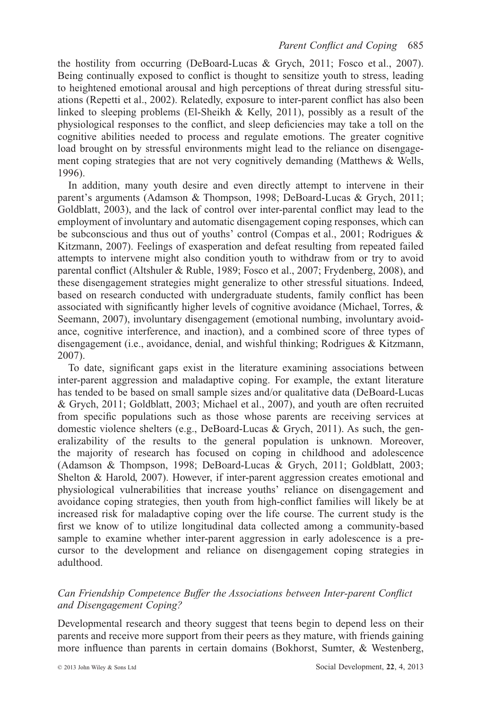the hostility from occurring (DeBoard-Lucas & Grych, 2011; Fosco et al., 2007). Being continually exposed to conflict is thought to sensitize youth to stress, leading to heightened emotional arousal and high perceptions of threat during stressful situations (Repetti et al., 2002). Relatedly, exposure to inter-parent conflict has also been linked to sleeping problems (El-Sheikh & Kelly, 2011), possibly as a result of the physiological responses to the conflict, and sleep deficiencies may take a toll on the cognitive abilities needed to process and regulate emotions. The greater cognitive load brought on by stressful environments might lead to the reliance on disengagement coping strategies that are not very cognitively demanding (Matthews & Wells, 1996).

In addition, many youth desire and even directly attempt to intervene in their parent's arguments (Adamson & Thompson, 1998; DeBoard-Lucas & Grych, 2011; Goldblatt, 2003), and the lack of control over inter-parental conflict may lead to the employment of involuntary and automatic disengagement coping responses, which can be subconscious and thus out of youths' control (Compas et al., 2001; Rodrigues & Kitzmann, 2007). Feelings of exasperation and defeat resulting from repeated failed attempts to intervene might also condition youth to withdraw from or try to avoid parental conflict (Altshuler & Ruble, 1989; Fosco et al., 2007; Frydenberg, 2008), and these disengagement strategies might generalize to other stressful situations. Indeed, based on research conducted with undergraduate students, family conflict has been associated with significantly higher levels of cognitive avoidance (Michael, Torres, & Seemann, 2007), involuntary disengagement (emotional numbing, involuntary avoidance, cognitive interference, and inaction), and a combined score of three types of disengagement (i.e., avoidance, denial, and wishful thinking; Rodrigues & Kitzmann, 2007).

To date, significant gaps exist in the literature examining associations between inter-parent aggression and maladaptive coping. For example, the extant literature has tended to be based on small sample sizes and/or qualitative data (DeBoard-Lucas & Grych, 2011; Goldblatt, 2003; Michael et al., 2007), and youth are often recruited from specific populations such as those whose parents are receiving services at domestic violence shelters (e.g., DeBoard-Lucas & Grych, 2011). As such, the generalizability of the results to the general population is unknown. Moreover, the majority of research has focused on coping in childhood and adolescence (Adamson & Thompson, 1998; DeBoard-Lucas & Grych, 2011; Goldblatt, 2003; Shelton & Harold, 2007). However, if inter-parent aggression creates emotional and physiological vulnerabilities that increase youths' reliance on disengagement and avoidance coping strategies, then youth from high-conflict families will likely be at increased risk for maladaptive coping over the life course. The current study is the first we know of to utilize longitudinal data collected among a community-based sample to examine whether inter-parent aggression in early adolescence is a precursor to the development and reliance on disengagement coping strategies in adulthood.

# *Can Friendship Competence Buffer the Associations between Inter-parent Conflict and Disengagement Coping?*

Developmental research and theory suggest that teens begin to depend less on their parents and receive more support from their peers as they mature, with friends gaining more influence than parents in certain domains (Bokhorst, Sumter, & Westenberg,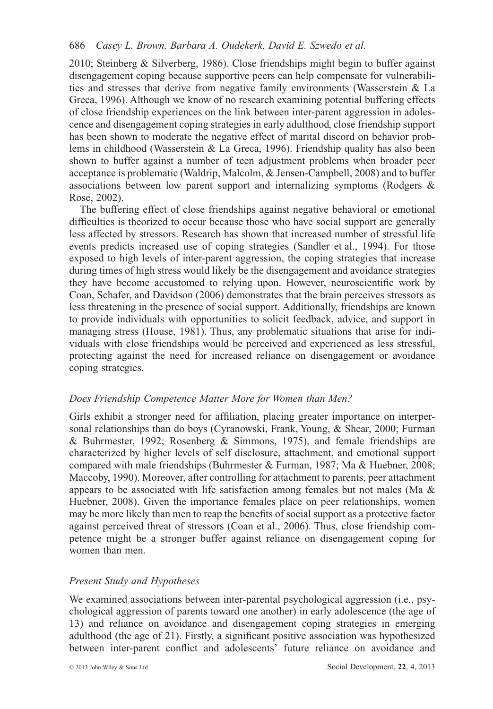2010; Steinberg & Silverberg, 1986). Close friendships might begin to buffer against disengagement coping because supportive peers can help compensate for vulnerabilities and stresses that derive from negative family environments (Wasserstein & La Greca, 1996). Although we know of no research examining potential buffering effects of close friendship experiences on the link between inter-parent aggression in adolescence and disengagement coping strategies in early adulthood, close friendship support has been shown to moderate the negative effect of marital discord on behavior problems in childhood (Wasserstein & La Greca, 1996). Friendship quality has also been shown to buffer against a number of teen adjustment problems when broader peer acceptance is problematic (Waldrip, Malcolm, & Jensen-Campbell, 2008) and to buffer associations between low parent support and internalizing symptoms (Rodgers & Rose, 2002).

The buffering effect of close friendships against negative behavioral or emotional difficulties is theorized to occur because those who have social support are generally less affected by stressors. Research has shown that increased number of stressful life events predicts increased use of coping strategies (Sandler et al., 1994). For those exposed to high levels of inter-parent aggression, the coping strategies that increase during times of high stress would likely be the disengagement and avoidance strategies they have become accustomed to relying upon. However, neuroscientific work by Coan, Schafer, and Davidson (2006) demonstrates that the brain perceives stressors as less threatening in the presence of social support. Additionally, friendships are known to provide individuals with opportunities to solicit feedback, advice, and support in managing stress (House, 1981). Thus, any problematic situations that arise for individuals with close friendships would be perceived and experienced as less stressful, protecting against the need for increased reliance on disengagement or avoidance coping strategies.

## *Does Friendship Competence Matter More for Women than Men?*

Girls exhibit a stronger need for affiliation, placing greater importance on interpersonal relationships than do boys (Cyranowski, Frank, Young, & Shear, 2000; Furman & Buhrmester, 1992; Rosenberg & Simmons, 1975), and female friendships are characterized by higher levels of self disclosure, attachment, and emotional support compared with male friendships (Buhrmester & Furman, 1987; Ma & Huebner, 2008; Maccoby, 1990). Moreover, after controlling for attachment to parents, peer attachment appears to be associated with life satisfaction among females but not males (Ma  $\&$ Huebner, 2008). Given the importance females place on peer relationships, women may be more likely than men to reap the benefits of social support as a protective factor against perceived threat of stressors (Coan et al., 2006). Thus, close friendship competence might be a stronger buffer against reliance on disengagement coping for women than men.

#### *Present Study and Hypotheses*

We examined associations between inter-parental psychological aggression (i.e., psychological aggression of parents toward one another) in early adolescence (the age of 13) and reliance on avoidance and disengagement coping strategies in emerging adulthood (the age of 21). Firstly, a significant positive association was hypothesized between inter-parent conflict and adolescents' future reliance on avoidance and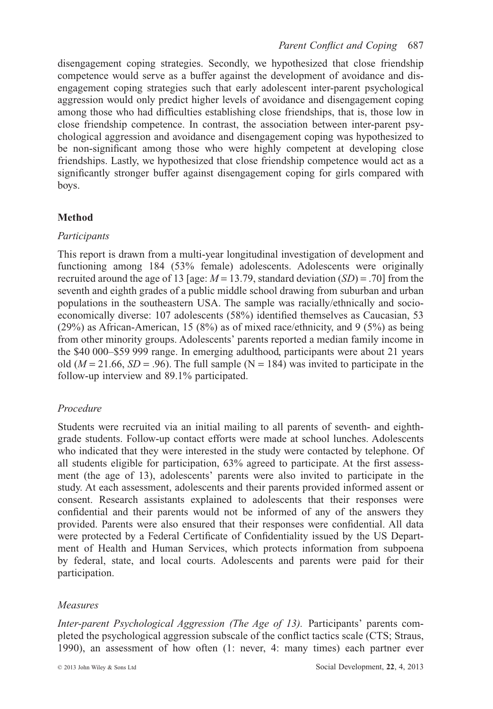disengagement coping strategies. Secondly, we hypothesized that close friendship competence would serve as a buffer against the development of avoidance and disengagement coping strategies such that early adolescent inter-parent psychological aggression would only predict higher levels of avoidance and disengagement coping among those who had difficulties establishing close friendships, that is, those low in close friendship competence. In contrast, the association between inter-parent psychological aggression and avoidance and disengagement coping was hypothesized to be non-significant among those who were highly competent at developing close friendships. Lastly, we hypothesized that close friendship competence would act as a significantly stronger buffer against disengagement coping for girls compared with boys.

# **Method**

## *Participants*

This report is drawn from a multi-year longitudinal investigation of development and functioning among 184 (53% female) adolescents. Adolescents were originally recruited around the age of 13 [age:  $M = 13.79$ , standard deviation  $(SD) = .70$ ] from the seventh and eighth grades of a public middle school drawing from suburban and urban populations in the southeastern USA. The sample was racially/ethnically and socioeconomically diverse: 107 adolescents (58%) identified themselves as Caucasian, 53 (29%) as African-American, 15 (8%) as of mixed race/ethnicity, and 9 (5%) as being from other minority groups. Adolescents' parents reported a median family income in the \$40 000–\$59 999 range. In emerging adulthood, participants were about 21 years old  $(M = 21.66, SD = .96)$ . The full sample (N = 184) was invited to participate in the follow-up interview and 89.1% participated.

# *Procedure*

Students were recruited via an initial mailing to all parents of seventh- and eighthgrade students. Follow-up contact efforts were made at school lunches. Adolescents who indicated that they were interested in the study were contacted by telephone. Of all students eligible for participation, 63% agreed to participate. At the first assessment (the age of 13), adolescents' parents were also invited to participate in the study. At each assessment, adolescents and their parents provided informed assent or consent. Research assistants explained to adolescents that their responses were confidential and their parents would not be informed of any of the answers they provided. Parents were also ensured that their responses were confidential. All data were protected by a Federal Certificate of Confidentiality issued by the US Department of Health and Human Services, which protects information from subpoena by federal, state, and local courts. Adolescents and parents were paid for their participation.

## *Measures*

*Inter-parent Psychological Aggression (The Age of 13).* Participants' parents completed the psychological aggression subscale of the conflict tactics scale (CTS; Straus, 1990), an assessment of how often (1: never, 4: many times) each partner ever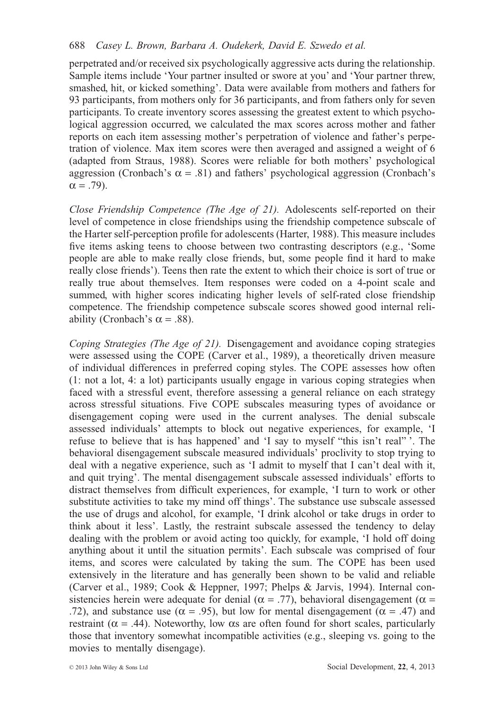perpetrated and/or received six psychologically aggressive acts during the relationship. Sample items include 'Your partner insulted or swore at you' and 'Your partner threw, smashed, hit, or kicked something'. Data were available from mothers and fathers for 93 participants, from mothers only for 36 participants, and from fathers only for seven participants. To create inventory scores assessing the greatest extent to which psychological aggression occurred, we calculated the max scores across mother and father reports on each item assessing mother's perpetration of violence and father's perpetration of violence. Max item scores were then averaged and assigned a weight of 6 (adapted from Straus, 1988). Scores were reliable for both mothers' psychological aggression (Cronbach's  $\alpha = .81$ ) and fathers' psychological aggression (Cronbach's  $\alpha = .79$ ).

*Close Friendship Competence (The Age of 21).* Adolescents self-reported on their level of competence in close friendships using the friendship competence subscale of the Harter self-perception profile for adolescents (Harter, 1988). This measure includes five items asking teens to choose between two contrasting descriptors (e.g., 'Some people are able to make really close friends, but, some people find it hard to make really close friends'). Teens then rate the extent to which their choice is sort of true or really true about themselves. Item responses were coded on a 4-point scale and summed, with higher scores indicating higher levels of self-rated close friendship competence. The friendship competence subscale scores showed good internal reliability (Cronbach's  $\alpha = .88$ ).

*Coping Strategies (The Age of 21).* Disengagement and avoidance coping strategies were assessed using the COPE (Carver et al., 1989), a theoretically driven measure of individual differences in preferred coping styles. The COPE assesses how often (1: not a lot, 4: a lot) participants usually engage in various coping strategies when faced with a stressful event, therefore assessing a general reliance on each strategy across stressful situations. Five COPE subscales measuring types of avoidance or disengagement coping were used in the current analyses. The denial subscale assessed individuals' attempts to block out negative experiences, for example, 'I refuse to believe that is has happened' and 'I say to myself "this isn't real" '. The behavioral disengagement subscale measured individuals' proclivity to stop trying to deal with a negative experience, such as 'I admit to myself that I can't deal with it, and quit trying'. The mental disengagement subscale assessed individuals' efforts to distract themselves from difficult experiences, for example, 'I turn to work or other substitute activities to take my mind off things'. The substance use subscale assessed the use of drugs and alcohol, for example, 'I drink alcohol or take drugs in order to think about it less'. Lastly, the restraint subscale assessed the tendency to delay dealing with the problem or avoid acting too quickly, for example, 'I hold off doing anything about it until the situation permits'. Each subscale was comprised of four items, and scores were calculated by taking the sum. The COPE has been used extensively in the literature and has generally been shown to be valid and reliable (Carver et al., 1989; Cook & Heppner, 1997; Phelps & Jarvis, 1994). Internal consistencies herein were adequate for denial ( $\alpha = .77$ ), behavioral disengagement ( $\alpha =$ .72), and substance use ( $\alpha = .95$ ), but low for mental disengagement ( $\alpha = .47$ ) and restraint ( $\alpha$  = .44). Noteworthy, low  $\alpha$ s are often found for short scales, particularly those that inventory somewhat incompatible activities (e.g., sleeping vs. going to the movies to mentally disengage).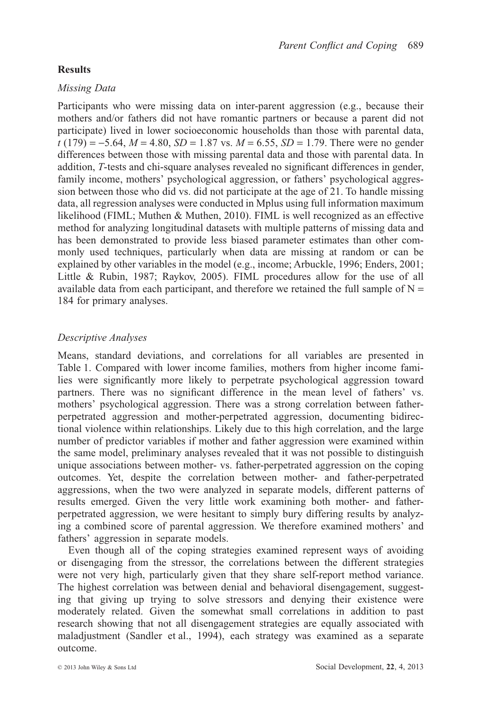## **Results**

## *Missing Data*

Participants who were missing data on inter-parent aggression (e.g., because their mothers and/or fathers did not have romantic partners or because a parent did not participate) lived in lower socioeconomic households than those with parental data, *t* (179) = -5.64, *M* = 4.80, *SD* = 1.87 vs. *M* = 6.55, *SD* = 1.79. There were no gender differences between those with missing parental data and those with parental data. In addition, *T*-tests and chi-square analyses revealed no significant differences in gender, family income, mothers' psychological aggression, or fathers' psychological aggression between those who did vs. did not participate at the age of 21. To handle missing data, all regression analyses were conducted in Mplus using full information maximum likelihood (FIML; Muthen & Muthen, 2010). FIML is well recognized as an effective method for analyzing longitudinal datasets with multiple patterns of missing data and has been demonstrated to provide less biased parameter estimates than other commonly used techniques, particularly when data are missing at random or can be explained by other variables in the model (e.g., income; Arbuckle, 1996; Enders, 2001; Little & Rubin, 1987; Raykov, 2005). FIML procedures allow for the use of all available data from each participant, and therefore we retained the full sample of  $N =$ 184 for primary analyses.

# *Descriptive Analyses*

Means, standard deviations, and correlations for all variables are presented in Table 1. Compared with lower income families, mothers from higher income families were significantly more likely to perpetrate psychological aggression toward partners. There was no significant difference in the mean level of fathers' vs. mothers' psychological aggression. There was a strong correlation between fatherperpetrated aggression and mother-perpetrated aggression, documenting bidirectional violence within relationships. Likely due to this high correlation, and the large number of predictor variables if mother and father aggression were examined within the same model, preliminary analyses revealed that it was not possible to distinguish unique associations between mother- vs. father-perpetrated aggression on the coping outcomes. Yet, despite the correlation between mother- and father-perpetrated aggressions, when the two were analyzed in separate models, different patterns of results emerged. Given the very little work examining both mother- and fatherperpetrated aggression, we were hesitant to simply bury differing results by analyzing a combined score of parental aggression. We therefore examined mothers' and fathers' aggression in separate models.

Even though all of the coping strategies examined represent ways of avoiding or disengaging from the stressor, the correlations between the different strategies were not very high, particularly given that they share self-report method variance. The highest correlation was between denial and behavioral disengagement, suggesting that giving up trying to solve stressors and denying their existence were moderately related. Given the somewhat small correlations in addition to past research showing that not all disengagement strategies are equally associated with maladjustment (Sandler et al., 1994), each strategy was examined as a separate outcome.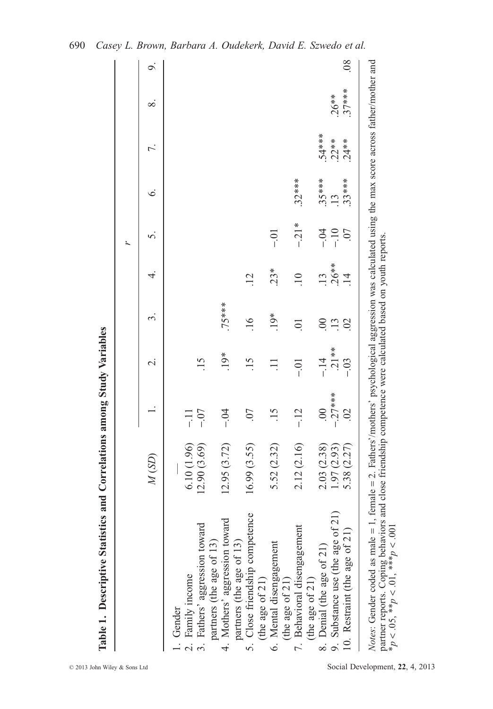|                                                                                                                                                                                                                                                                  |              |                  |             |                 |                 | z,             |          |        |         |                 |
|------------------------------------------------------------------------------------------------------------------------------------------------------------------------------------------------------------------------------------------------------------------|--------------|------------------|-------------|-----------------|-----------------|----------------|----------|--------|---------|-----------------|
|                                                                                                                                                                                                                                                                  | M(SD)        |                  | $\sim$      | 3               | 4               |                | Ö        |        | ∞       | $\circ$         |
| l. Gender                                                                                                                                                                                                                                                        |              |                  |             |                 |                 |                |          |        |         |                 |
| 2. Family income                                                                                                                                                                                                                                                 | 6.10(1.96)   | ミー               |             |                 |                 |                |          |        |         |                 |
| 3. Fathers' aggression toward<br>partners (the age of 13)                                                                                                                                                                                                        | 12.90(3.69)  | $-0.7$           | 15          |                 |                 |                |          |        |         |                 |
| 4. Mothers' aggression toward<br>partners (the age of 13)                                                                                                                                                                                                        | 12.95(3.72)  | $-0.4$           | $.19*$      | .75***          |                 |                |          |        |         |                 |
| 5. Close friendship competence<br>(the age of 21)                                                                                                                                                                                                                | 16.99 (3.55) | $\overline{0}$ . | 15          | $\frac{6}{1}$   | 12              |                |          |        |         |                 |
| 6. Mental disengagement<br>(the age of 21)                                                                                                                                                                                                                       | 5.52 (2.32)  | $\ddot{5}$       |             | $19*$           | $23*$           | $-0$           |          |        |         |                 |
| 7. Behavioral disengagement<br>(the age of $21$ )                                                                                                                                                                                                                | 2.12 (2.16)  | $-12$            | <u>ان</u> ۔ | $\overline{0}$  | $\frac{1}{1}$   | $-21*$         | $.32***$ |        |         |                 |
| 8. Denial (the age of 21)                                                                                                                                                                                                                                        | 2.03(2.38)   | $\ddot{\circ}$   | $-14$       | $\odot$         | $\overline{13}$ | $-0.1$         | $.35***$ | 54**** |         |                 |
| 9. Substance use (the age of 21)                                                                                                                                                                                                                                 | 1.97(2.93)   | $-.27***$        | $.21**$     | $\overline{13}$ | $26**$          | $-10$          | 13       | $22**$ | $.26**$ |                 |
| 10. Restraint (the age of 21)                                                                                                                                                                                                                                    | 5.38(2.27)   | $\approx$        | $-.03$      | $\mathfrak{S}$  | $\frac{4}{3}$   | $\overline{0}$ | $.33***$ | $24**$ | $37***$ | $\overline{08}$ |
| Notes: Gender coded as male = 1, female = 2. Fathers'/mothers' psychological aggression was calculated using the max score across father/mother and<br>partner reports. Coping behaviors and close friendship competence were calculated based on youth reports. |              |                  |             |                 |                 |                |          |        |         |                 |

**Table 1. Descriptive Statistics and Correlations among Study Variables**

Table 1. Descriptive Statistics and Correlations among Study Variables

\**<sup>p</sup>*

 $< 0.05$ ,  $*^{*}p$ 

v  $\lt 0.01$ , \*\**p* 

< .001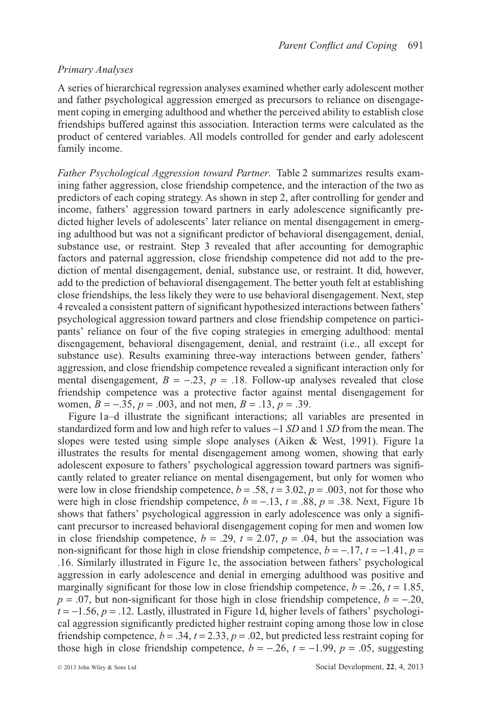# *Primary Analyses*

A series of hierarchical regression analyses examined whether early adolescent mother and father psychological aggression emerged as precursors to reliance on disengagement coping in emerging adulthood and whether the perceived ability to establish close friendships buffered against this association. Interaction terms were calculated as the product of centered variables. All models controlled for gender and early adolescent family income.

*Father Psychological Aggression toward Partner.* Table 2 summarizes results examining father aggression, close friendship competence, and the interaction of the two as predictors of each coping strategy. As shown in step 2, after controlling for gender and income, fathers' aggression toward partners in early adolescence significantly predicted higher levels of adolescents' later reliance on mental disengagement in emerging adulthood but was not a significant predictor of behavioral disengagement, denial, substance use, or restraint. Step 3 revealed that after accounting for demographic factors and paternal aggression, close friendship competence did not add to the prediction of mental disengagement, denial, substance use, or restraint. It did, however, add to the prediction of behavioral disengagement. The better youth felt at establishing close friendships, the less likely they were to use behavioral disengagement. Next, step 4 revealed a consistent pattern of significant hypothesized interactions between fathers' psychological aggression toward partners and close friendship competence on participants' reliance on four of the five coping strategies in emerging adulthood: mental disengagement, behavioral disengagement, denial, and restraint (i.e., all except for substance use). Results examining three-way interactions between gender, fathers' aggression, and close friendship competence revealed a significant interaction only for mental disengagement,  $B = -0.23$ ,  $p = 0.18$ . Follow-up analyses revealed that close friendship competence was a protective factor against mental disengagement for women,  $B = -.35$ ,  $p = .003$ , and not men,  $B = .13$ ,  $p = .39$ .

Figure 1a–d illustrate the significant interactions; all variables are presented in standardized form and low and high refer to values -1 *SD* and 1 *SD* from the mean. The slopes were tested using simple slope analyses (Aiken & West, 1991). Figure 1a illustrates the results for mental disengagement among women, showing that early adolescent exposure to fathers' psychological aggression toward partners was significantly related to greater reliance on mental disengagement, but only for women who were low in close friendship competence,  $b = .58$ ,  $t = 3.02$ ,  $p = .003$ , not for those who were high in close friendship competence,  $b = -.13$ ,  $t = .88$ ,  $p = .38$ . Next, Figure 1b shows that fathers' psychological aggression in early adolescence was only a significant precursor to increased behavioral disengagement coping for men and women low in close friendship competence,  $b = .29$ ,  $t = 2.07$ ,  $p = .04$ , but the association was non-significant for those high in close friendship competence,  $b = -1.17$ ,  $t = -1.41$ ,  $p =$ .16. Similarly illustrated in Figure 1c, the association between fathers' psychological aggression in early adolescence and denial in emerging adulthood was positive and marginally significant for those low in close friendship competence,  $b = .26$ ,  $t = 1.85$ ,  $p = .07$ , but non-significant for those high in close friendship competence,  $b = -.20$ ,  $t = -1.56$ ,  $p = 0.12$ . Lastly, illustrated in Figure 1d, higher levels of fathers' psychological aggression significantly predicted higher restraint coping among those low in close friendship competence,  $b = .34$ ,  $t = 2.33$ ,  $p = .02$ , but predicted less restraint coping for those high in close friendship competence,  $b = -.26$ ,  $t = -1.99$ ,  $p = .05$ , suggesting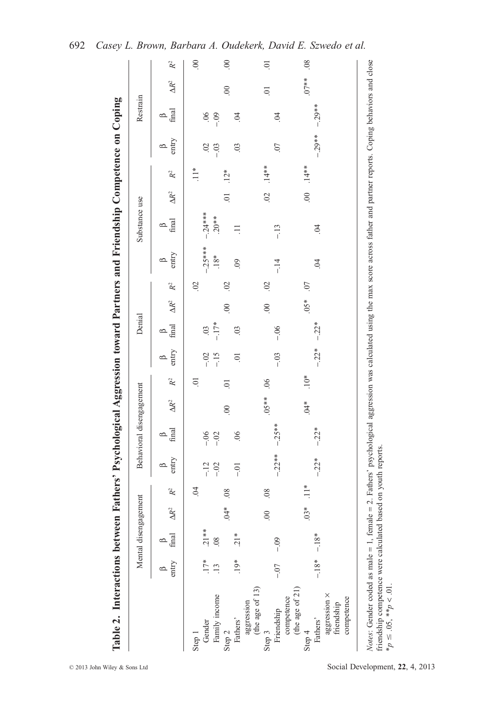|                                  |                 | Mental disengagement |                |                   |                  | Behavioral disengagement |              |                 |                  | Denial         |                |                |                  | Substance use |                  |                   |                  | Restrain            |                  |                 |
|----------------------------------|-----------------|----------------------|----------------|-------------------|------------------|--------------------------|--------------|-----------------|------------------|----------------|----------------|----------------|------------------|---------------|------------------|-------------------|------------------|---------------------|------------------|-----------------|
|                                  | entry           | final                | $\Delta R^2$   | $\mathbb{R}^2$    | entry<br>$\circ$ | final                    | $\Delta R^2$ | $\mathcal{R}^2$ | entry            | final          | $\Delta R^2$   | $\mathbb{R}^2$ | entry<br>$\circ$ | final         | $\Delta R^2$     | $\mathcal{R}^2$   | entry<br>മ       | final<br>$\Delta$   | $\Delta R^2$     | $\mathbb{R}^2$  |
| Step 1                           |                 |                      |                | S.                |                  |                          |              | $\overline{0}$  |                  |                |                | $\approx$      |                  |               |                  | $\prod_{i=1}^{n}$ |                  |                     |                  | $\overline{0}$  |
| Gender                           | $.17*$          | $.21***$             |                |                   | $-12$            | $-0.6$                   |              |                 | $-02$            | $\overline{0}$ |                |                | $-25***$         | $-24***$      |                  |                   | 02               | 06                  |                  |                 |
| Family income                    | $\overline{13}$ | $\overline{08}$      |                |                   | $-.02$           | $-02$                    |              |                 | $-15$            | $-17*$         |                |                | $.18*$           | $.20**$       |                  |                   | $-0.3$           | $-0.9$              |                  |                 |
| Step 2                           |                 |                      | $.04*$         | 08                |                  |                          | 00           | $\overline{0}$  |                  |                | $\odot$        | $\approx$      |                  |               | $\overline{0}$ . | $12*$             |                  |                     | $\odot$          | $\overline{0}$  |
| Fathers'                         | $.19*$          | $.21*$               |                |                   | $-0.1$           | $\overline{0}$           |              |                 | $\sum_{i=1}^{n}$ | $\overline{0}$ |                |                | $\overline{0}$   | $\Xi$         |                  |                   | $\overline{0}$   | $\ddot{\theta}$     |                  |                 |
| aggression<br>(the age of $13$ ) |                 |                      |                |                   |                  |                          |              |                 |                  |                |                |                |                  |               |                  |                   |                  |                     |                  |                 |
| Step 3                           |                 |                      | $\ddot{\circ}$ | $\overline{08}$   |                  |                          | $5**$        | 06              |                  |                | $\ddot{\circ}$ | $\overline{0}$ |                  |               | $\approx$        | $.14**$           |                  |                     | $\sum_{i=1}^{n}$ | $\overline{0}$  |
| Friendship                       | $-0.07 - 0.09$  |                      |                |                   | $-22**$          | $-.25**$                 |              |                 | $-0.03$          | $-0.06$        |                |                | $-14$            | $-13$         |                  |                   | $\overline{0}$ . | $\ddot{\mathrm{C}}$ |                  |                 |
| (the age of 21)<br>competence    |                 |                      |                |                   |                  |                          |              |                 |                  |                |                |                |                  |               |                  |                   |                  |                     |                  |                 |
| Step 4                           |                 |                      | $.03*$         | $\stackrel{*}{=}$ |                  |                          | $.04*$       | $10*$           |                  |                | $0.5*$         | 07             |                  |               | $\odot$          | $.14**$           |                  |                     | $.07**$          | $\overline{08}$ |
| Fathers'                         |                 | $-.18* - .18*$       |                |                   | $-.22*$          | $-.22*$                  |              |                 | $-.22*$          | $-.22*$        |                |                | $\ddot{q}$       | $\ddot{0}$    |                  |                   | $-.29**$         | $-29**$             |                  |                 |
| aggression ×<br>friendship       |                 |                      |                |                   |                  |                          |              |                 |                  |                |                |                |                  |               |                  |                   |                  |                     |                  |                 |
| competence                       |                 |                      |                |                   |                  |                          |              |                 |                  |                |                |                |                  |               |                  |                   |                  |                     |                  |                 |

\**<sup>p</sup>* V

 $\leq 0.05$ , \*\**p* < 0.1.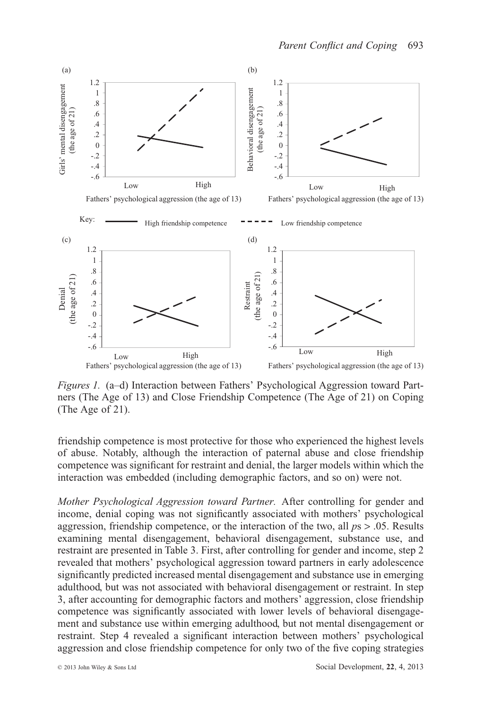

*Figures 1.* (a–d) Interaction between Fathers' Psychological Aggression toward Partners (The Age of 13) and Close Friendship Competence (The Age of 21) on Coping (The Age of 21).

friendship competence is most protective for those who experienced the highest levels of abuse. Notably, although the interaction of paternal abuse and close friendship competence was significant for restraint and denial, the larger models within which the interaction was embedded (including demographic factors, and so on) were not.

*Mother Psychological Aggression toward Partner.* After controlling for gender and income, denial coping was not significantly associated with mothers' psychological aggression, friendship competence, or the interaction of the two, all *p*s > .05. Results examining mental disengagement, behavioral disengagement, substance use, and restraint are presented in Table 3. First, after controlling for gender and income, step 2 revealed that mothers' psychological aggression toward partners in early adolescence significantly predicted increased mental disengagement and substance use in emerging adulthood, but was not associated with behavioral disengagement or restraint. In step 3, after accounting for demographic factors and mothers' aggression, close friendship competence was significantly associated with lower levels of behavioral disengagement and substance use within emerging adulthood, but not mental disengagement or restraint. Step 4 revealed a significant interaction between mothers' psychological aggression and close friendship competence for only two of the five coping strategies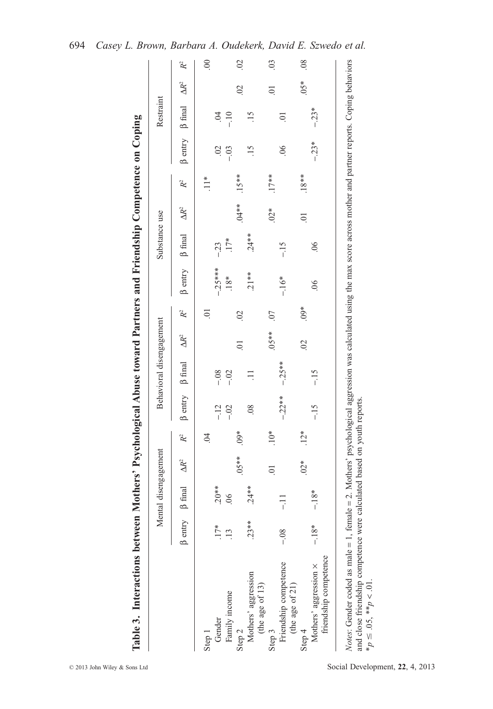|                                                |               | Mental disengagement  |              |                           |               | Behavioral disengagement    |                |                |                           | Substance use   |                |               |                  | Restraint                   |              |                |
|------------------------------------------------|---------------|-----------------------|--------------|---------------------------|---------------|-----------------------------|----------------|----------------|---------------------------|-----------------|----------------|---------------|------------------|-----------------------------|--------------|----------------|
|                                                | $\beta$ entry | <sup>[</sup> B final] | $\Delta R^2$ | Ř                         |               | $\beta$ entry $\beta$ final | $\Delta R^2$   | R <sup>2</sup> |                           | B entry B final | $\Delta R^2$   | Ř             |                  | $\beta$ entry $\beta$ final | $\Delta R^2$ | $\mathbb{R}^2$ |
| Step 1                                         |               |                       |              | $\widetilde{\phantom{a}}$ |               |                             |                | 5              |                           |                 |                | $\frac{1}{1}$ |                  |                             |              | 00             |
| Gender                                         | $17*$         | $.20**$               |              |                           | $-12$         | $-0.8$                      |                |                | $-.25***$                 | $-23$           |                |               | $\approx$        | S.                          |              |                |
| Family income                                  | 13            | $\frac{8}{2}$         |              |                           | $-0.02$       | $-.02$                      |                |                | $18*$                     | $.17*$          |                |               | $-03$            |                             |              |                |
| Step 2                                         |               |                       | $05***$      | $.09*$                    |               |                             | $\overline{0}$ | $\approx$      |                           |                 | $** + 0.$      | $.15**$       |                  |                             | $\approx$    | $\approx$      |
| Mothers' aggression<br>(the age of 13)         | $.23**$       | $.24**$               |              |                           | $\frac{8}{3}$ |                             |                |                | $21**$                    | $.24**$         |                |               | $\frac{5}{1}$    | 15                          |              |                |
| Step 3                                         |               |                       | 5.           |                           |               |                             | $***0.$        | 0              |                           |                 | $02*$          | $.17***$      |                  |                             |              | $\ddot{0}$     |
| Friendship competence<br>(the age of $21$ )    | $-0.8$        | $-11$                 |              |                           | $-.22**$      | $-25**$                     |                |                | $-16*$                    | $-15$           |                |               | $\widetilde{90}$ | $\ddot{\circ}$              |              |                |
| Step 4                                         |               |                       | $.02*$       | $.12*$                    |               |                             | $\approx$      | $.09*$         |                           |                 | $\overline{a}$ | $.18**$       |                  |                             | $0.6*$       | $\frac{8}{3}$  |
| friendship competence<br>Mothers' aggression × | $-18*$        | $-18*$                |              |                           | $-15$         | $-15$                       |                |                | $\widetilde{\mathcal{O}}$ | 06              |                |               | $-23*$           | $-.23*$                     |              |                |

and close friendship competence were calculated based on youth reports. \**<sup>p</sup>* V  $\leq .05,$  \*\* $p < .01$ .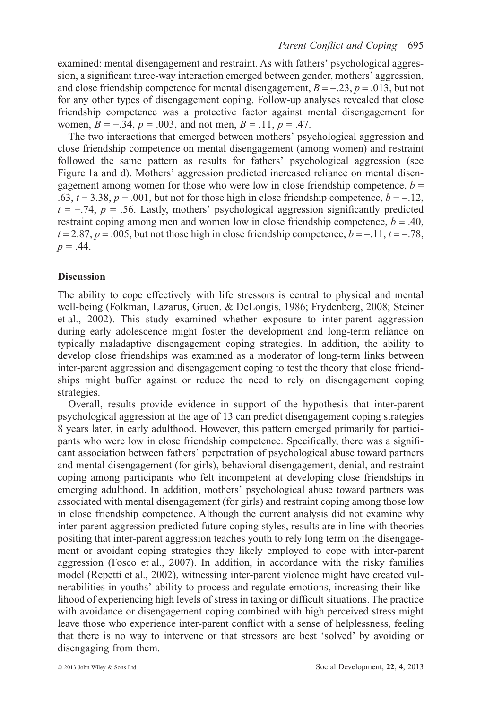examined: mental disengagement and restraint. As with fathers' psychological aggression, a significant three-way interaction emerged between gender, mothers' aggression, and close friendship competence for mental disengagement,  $B = -0.23$ ,  $p = 0.013$ , but not for any other types of disengagement coping. Follow-up analyses revealed that close friendship competence was a protective factor against mental disengagement for women,  $B = -.34$ ,  $p = .003$ , and not men,  $B = .11$ ,  $p = .47$ .

The two interactions that emerged between mothers' psychological aggression and close friendship competence on mental disengagement (among women) and restraint followed the same pattern as results for fathers' psychological aggression (see Figure 1a and d). Mothers' aggression predicted increased reliance on mental disengagement among women for those who were low in close friendship competence,  $b =$ .63,  $t = 3.38$ ,  $p = .001$ , but not for those high in close friendship competence,  $b = -.12$ ,  $t = -0.74$ ,  $p = 0.56$ . Lastly, mothers' psychological aggression significantly predicted restraint coping among men and women low in close friendship competence,  $b = .40$ ,  $t = 2.87$ ,  $p = .005$ , but not those high in close friendship competence,  $b = -.11$ ,  $t = -.78$ ,  $p = .44$ .

#### **Discussion**

The ability to cope effectively with life stressors is central to physical and mental well-being (Folkman, Lazarus, Gruen, & DeLongis, 1986; Frydenberg, 2008; Steiner et al., 2002). This study examined whether exposure to inter-parent aggression during early adolescence might foster the development and long-term reliance on typically maladaptive disengagement coping strategies. In addition, the ability to develop close friendships was examined as a moderator of long-term links between inter-parent aggression and disengagement coping to test the theory that close friendships might buffer against or reduce the need to rely on disengagement coping strategies.

Overall, results provide evidence in support of the hypothesis that inter-parent psychological aggression at the age of 13 can predict disengagement coping strategies 8 years later, in early adulthood. However, this pattern emerged primarily for participants who were low in close friendship competence. Specifically, there was a significant association between fathers' perpetration of psychological abuse toward partners and mental disengagement (for girls), behavioral disengagement, denial, and restraint coping among participants who felt incompetent at developing close friendships in emerging adulthood. In addition, mothers' psychological abuse toward partners was associated with mental disengagement (for girls) and restraint coping among those low in close friendship competence. Although the current analysis did not examine why inter-parent aggression predicted future coping styles, results are in line with theories positing that inter-parent aggression teaches youth to rely long term on the disengagement or avoidant coping strategies they likely employed to cope with inter-parent aggression (Fosco et al., 2007). In addition, in accordance with the risky families model (Repetti et al., 2002), witnessing inter-parent violence might have created vulnerabilities in youths' ability to process and regulate emotions, increasing their likelihood of experiencing high levels of stress in taxing or difficult situations. The practice with avoidance or disengagement coping combined with high perceived stress might leave those who experience inter-parent conflict with a sense of helplessness, feeling that there is no way to intervene or that stressors are best 'solved' by avoiding or disengaging from them.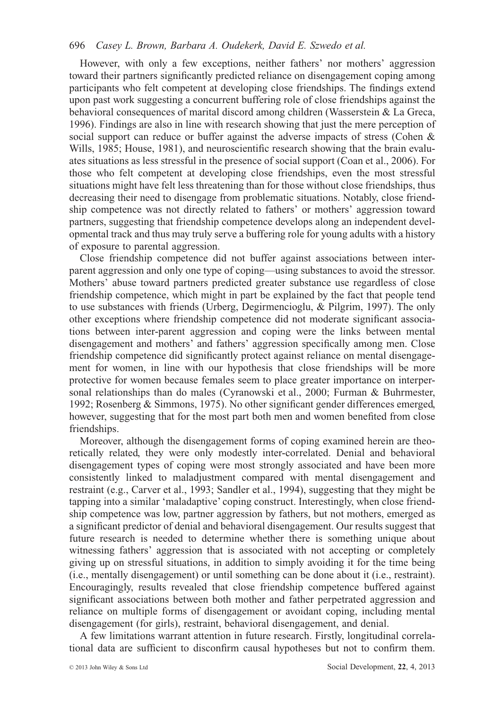However, with only a few exceptions, neither fathers' nor mothers' aggression toward their partners significantly predicted reliance on disengagement coping among participants who felt competent at developing close friendships. The findings extend upon past work suggesting a concurrent buffering role of close friendships against the behavioral consequences of marital discord among children (Wasserstein & La Greca, 1996). Findings are also in line with research showing that just the mere perception of social support can reduce or buffer against the adverse impacts of stress (Cohen & Wills, 1985; House, 1981), and neuroscientific research showing that the brain evaluates situations as less stressful in the presence of social support (Coan et al., 2006). For those who felt competent at developing close friendships, even the most stressful situations might have felt less threatening than for those without close friendships, thus decreasing their need to disengage from problematic situations. Notably, close friendship competence was not directly related to fathers' or mothers' aggression toward partners, suggesting that friendship competence develops along an independent developmental track and thus may truly serve a buffering role for young adults with a history of exposure to parental aggression.

Close friendship competence did not buffer against associations between interparent aggression and only one type of coping—using substances to avoid the stressor. Mothers' abuse toward partners predicted greater substance use regardless of close friendship competence, which might in part be explained by the fact that people tend to use substances with friends (Urberg, Degirmencioglu, & Pilgrim, 1997). The only other exceptions where friendship competence did not moderate significant associations between inter-parent aggression and coping were the links between mental disengagement and mothers' and fathers' aggression specifically among men. Close friendship competence did significantly protect against reliance on mental disengagement for women, in line with our hypothesis that close friendships will be more protective for women because females seem to place greater importance on interpersonal relationships than do males (Cyranowski et al., 2000; Furman & Buhrmester, 1992; Rosenberg & Simmons, 1975). No other significant gender differences emerged, however, suggesting that for the most part both men and women benefited from close friendships.

Moreover, although the disengagement forms of coping examined herein are theoretically related, they were only modestly inter-correlated. Denial and behavioral disengagement types of coping were most strongly associated and have been more consistently linked to maladjustment compared with mental disengagement and restraint (e.g., Carver et al., 1993; Sandler et al., 1994), suggesting that they might be tapping into a similar 'maladaptive' coping construct. Interestingly, when close friendship competence was low, partner aggression by fathers, but not mothers, emerged as a significant predictor of denial and behavioral disengagement. Our results suggest that future research is needed to determine whether there is something unique about witnessing fathers' aggression that is associated with not accepting or completely giving up on stressful situations, in addition to simply avoiding it for the time being (i.e., mentally disengagement) or until something can be done about it (i.e., restraint). Encouragingly, results revealed that close friendship competence buffered against significant associations between both mother and father perpetrated aggression and reliance on multiple forms of disengagement or avoidant coping, including mental disengagement (for girls), restraint, behavioral disengagement, and denial.

A few limitations warrant attention in future research. Firstly, longitudinal correlational data are sufficient to disconfirm causal hypotheses but not to confirm them.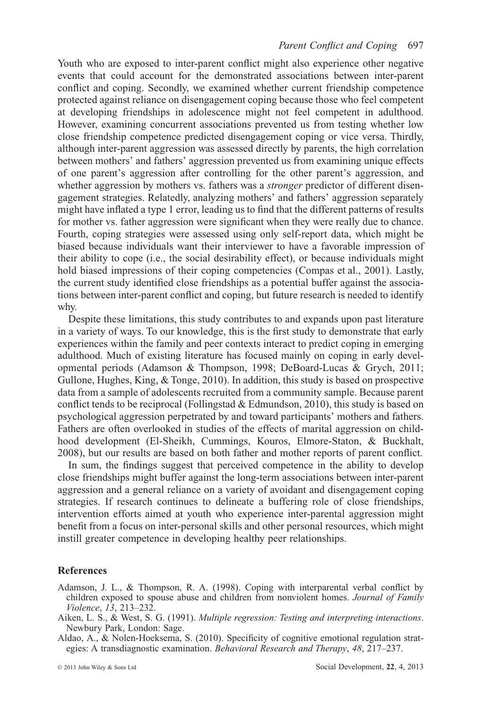Youth who are exposed to inter-parent conflict might also experience other negative events that could account for the demonstrated associations between inter-parent conflict and coping. Secondly, we examined whether current friendship competence protected against reliance on disengagement coping because those who feel competent at developing friendships in adolescence might not feel competent in adulthood. However, examining concurrent associations prevented us from testing whether low close friendship competence predicted disengagement coping or vice versa. Thirdly, although inter-parent aggression was assessed directly by parents, the high correlation between mothers' and fathers' aggression prevented us from examining unique effects of one parent's aggression after controlling for the other parent's aggression, and whether aggression by mothers vs. fathers was a *stronger* predictor of different disengagement strategies. Relatedly, analyzing mothers' and fathers' aggression separately might have inflated a type 1 error, leading us to find that the different patterns of results for mother vs. father aggression were significant when they were really due to chance. Fourth, coping strategies were assessed using only self-report data, which might be biased because individuals want their interviewer to have a favorable impression of their ability to cope (i.e., the social desirability effect), or because individuals might hold biased impressions of their coping competencies (Compas et al., 2001). Lastly, the current study identified close friendships as a potential buffer against the associations between inter-parent conflict and coping, but future research is needed to identify why.

Despite these limitations, this study contributes to and expands upon past literature in a variety of ways. To our knowledge, this is the first study to demonstrate that early experiences within the family and peer contexts interact to predict coping in emerging adulthood. Much of existing literature has focused mainly on coping in early developmental periods (Adamson & Thompson, 1998; DeBoard-Lucas & Grych, 2011; Gullone, Hughes, King, & Tonge, 2010). In addition, this study is based on prospective data from a sample of adolescents recruited from a community sample. Because parent conflict tends to be reciprocal (Follingstad  $&$  Edmundson, 2010), this study is based on psychological aggression perpetrated by and toward participants' mothers and fathers. Fathers are often overlooked in studies of the effects of marital aggression on childhood development (El-Sheikh, Cummings, Kouros, Elmore-Staton, & Buckhalt, 2008), but our results are based on both father and mother reports of parent conflict.

In sum, the findings suggest that perceived competence in the ability to develop close friendships might buffer against the long-term associations between inter-parent aggression and a general reliance on a variety of avoidant and disengagement coping strategies. If research continues to delineate a buffering role of close friendships, intervention efforts aimed at youth who experience inter-parental aggression might benefit from a focus on inter-personal skills and other personal resources, which might instill greater competence in developing healthy peer relationships.

#### **References**

- Adamson, J. L., & Thompson, R. A. (1998). Coping with interparental verbal conflict by children exposed to spouse abuse and children from nonviolent homes. *Journal of Family Violence*, *13*, 213–232.
- Aiken, L. S., & West, S. G. (1991). *Multiple regression: Testing and interpreting interactions*. Newbury Park, London: Sage.
- Aldao, A., & Nolen-Hoeksema, S. (2010). Specificity of cognitive emotional regulation strategies: A transdiagnostic examination. *Behavioral Research and Therapy*, *48*, 217–237.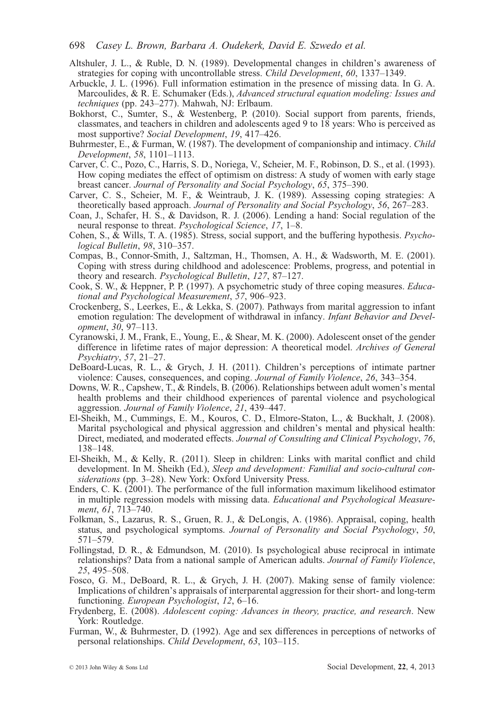- Altshuler, J. L., & Ruble, D. N. (1989). Developmental changes in children's awareness of strategies for coping with uncontrollable stress. *Child Development*, *60*, 1337–1349.
- Arbuckle, J. L. (1996). Full information estimation in the presence of missing data. In G. A. Marcoulides, & R. E. Schumaker (Eds.), *Advanced structural equation modeling: Issues and techniques* (pp. 243–277). Mahwah, NJ: Erlbaum.
- Bokhorst, C., Sumter, S., & Westenberg, P. (2010). Social support from parents, friends, classmates, and teachers in children and adolescents aged 9 to 18 years: Who is perceived as most supportive? *Social Development*, *19*, 417–426.
- Buhrmester, E., & Furman, W. (1987). The development of companionship and intimacy. *Child Development*, *58*, 1101–1113.
- Carver, C. C., Pozo, C., Harris, S. D., Noriega, V., Scheier, M. F., Robinson, D. S., et al. (1993). How coping mediates the effect of optimism on distress: A study of women with early stage breast cancer. *Journal of Personality and Social Psychology*, *65*, 375–390.
- Carver, C. S., Scheier, M. F., & Weintraub, J. K. (1989). Assessing coping strategies: A theoretically based approach. *Journal of Personality and Social Psychology*, *56*, 267–283.
- Coan, J., Schafer, H. S., & Davidson, R. J. (2006). Lending a hand: Social regulation of the neural response to threat. *Psychological Science*, *17*, 1–8.
- Cohen, S., & Wills, T. A. (1985). Stress, social support, and the buffering hypothesis. *Psychological Bulletin*, *98*, 310–357.
- Compas, B., Connor-Smith, J., Saltzman, H., Thomsen, A. H., & Wadsworth, M. E. (2001). Coping with stress during childhood and adolescence: Problems, progress, and potential in theory and research. *Psychological Bulletin*, *127*, 87–127.
- Cook, S. W., & Heppner, P. P. (1997). A psychometric study of three coping measures. *Educational and Psychological Measurement*, *57*, 906–923.
- Crockenberg, S., Leerkes, E., & Lekka, S. (2007). Pathways from marital aggression to infant emotion regulation: The development of withdrawal in infancy. *Infant Behavior and Development*, *30*, 97–113.
- Cyranowski, J. M., Frank, E., Young, E., & Shear, M. K. (2000). Adolescent onset of the gender difference in lifetime rates of major depression: A theoretical model. *Archives of General Psychiatry*, *57*, 21–27.
- DeBoard-Lucas, R. L., & Grych, J. H. (2011). Children's perceptions of intimate partner violence: Causes, consequences, and coping. *Journal of Family Violence*, *26*, 343–354.
- Downs, W. R., Capshew, T., & Rindels, B. (2006). Relationships between adult women's mental health problems and their childhood experiences of parental violence and psychological aggression. *Journal of Family Violence*, *21*, 439–447.
- El-Sheikh, M., Cummings, E. M., Kouros, C. D., Elmore-Staton, L., & Buckhalt, J. (2008). Marital psychological and physical aggression and children's mental and physical health: Direct, mediated, and moderated effects. *Journal of Consulting and Clinical Psychology*, *76*, 138–148.
- El-Sheikh, M., & Kelly, R. (2011). Sleep in children: Links with marital conflict and child development. In M. Sheikh (Ed.), *Sleep and development: Familial and socio-cultural considerations* (pp. 3–28). New York: Oxford University Press.
- Enders, C. K. (2001). The performance of the full information maximum likelihood estimator in multiple regression models with missing data. *Educational and Psychological Measurement*, *61*, 713–740.
- Folkman, S., Lazarus, R. S., Gruen, R. J., & DeLongis, A. (1986). Appraisal, coping, health status, and psychological symptoms. *Journal of Personality and Social Psychology*, *50*, 571–579.
- Follingstad, D. R., & Edmundson, M. (2010). Is psychological abuse reciprocal in intimate relationships? Data from a national sample of American adults. *Journal of Family Violence*, *25*, 495–508.
- Fosco, G. M., DeBoard, R. L., & Grych, J. H. (2007). Making sense of family violence: Implications of children's appraisals of interparental aggression for their short- and long-term functioning. *European Psychologist*, *12*, 6–16.
- Frydenberg, E. (2008). *Adolescent coping: Advances in theory, practice, and research*. New York: Routledge.
- Furman, W., & Buhrmester, D. (1992). Age and sex differences in perceptions of networks of personal relationships. *Child Development*, *63*, 103–115.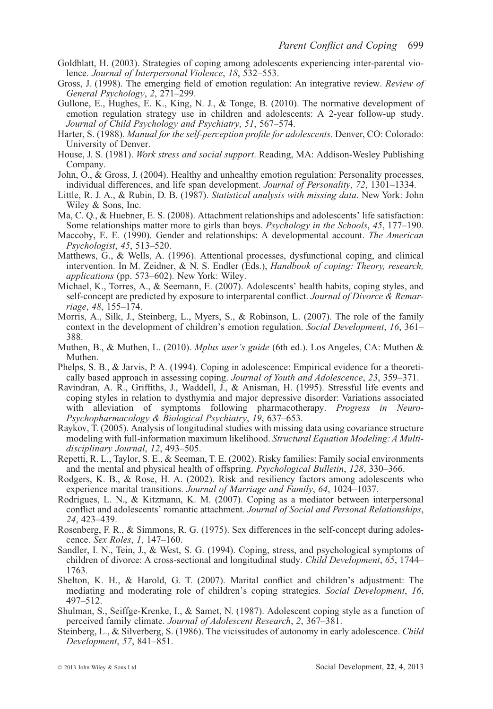- Goldblatt, H. (2003). Strategies of coping among adolescents experiencing inter-parental violence. *Journal of Interpersonal Violence*, *18*, 532–553.
- Gross, J. (1998). The emerging field of emotion regulation: An integrative review. *Review of General Psychology*, *2*, 271–299.
- Gullone, E., Hughes, E. K., King, N. J., & Tonge, B. (2010). The normative development of emotion regulation strategy use in children and adolescents: A 2-year follow-up study. *Journal of Child Psychology and Psychiatry*, *51*, 567–574.
- Harter, S. (1988). *Manual for the self-perception profile for adolescents*. Denver, CO: Colorado: University of Denver.
- House, J. S. (1981). *Work stress and social support*. Reading, MA: Addison-Wesley Publishing Company.
- John, O., & Gross, J. (2004). Healthy and unhealthy emotion regulation: Personality processes, individual differences, and life span development. *Journal of Personality*, *72*, 1301–1334.
- Little, R. J. A., & Rubin, D. B. (1987). *Statistical analysis with missing data*. New York: John Wiley & Sons, Inc.
- Ma, C. Q., & Huebner, E. S. (2008). Attachment relationships and adolescents' life satisfaction: Some relationships matter more to girls than boys. *Psychology in the Schools*, *45*, 177–190.
- Maccoby, E. E. (1990). Gender and relationships: A developmental account. *The American Psychologist*, *45*, 513–520.
- Matthews, G., & Wells, A. (1996). Attentional processes, dysfunctional coping, and clinical intervention. In M. Zeidner, & N. S. Endler (Eds.), *Handbook of coping: Theory, research, applications* (pp. 573–602). New York: Wiley.
- Michael, K., Torres, A., & Seemann, E. (2007). Adolescents' health habits, coping styles, and self-concept are predicted by exposure to interparental conflict. *Journal of Divorce & Remarriage*, *48*, 155–174.
- Morris, A., Silk, J., Steinberg, L., Myers, S., & Robinson, L. (2007). The role of the family context in the development of children's emotion regulation. *Social Development*, *16*, 361– 388.
- Muthen, B., & Muthen, L. (2010). *Mplus user's guide* (6th ed.). Los Angeles, CA: Muthen & Muthen.
- Phelps, S. B., & Jarvis, P. A. (1994). Coping in adolescence: Empirical evidence for a theoretically based approach in assessing coping. *Journal of Youth and Adolescence*, *23*, 359–371.
- Ravindran, A. R., Griffiths, J., Waddell, J., & Anisman, H. (1995). Stressful life events and coping styles in relation to dysthymia and major depressive disorder: Variations associated with alleviation of symptoms following pharmacotherapy. *Progress in Neuro-Psychopharmacology & Biological Psychiatry*, *19*, 637–653.
- Raykov, T. (2005). Analysis of longitudinal studies with missing data using covariance structure modeling with full-information maximum likelihood. *Structural Equation Modeling: A Multidisciplinary Journal*, *12*, 493–505.
- Repetti, R. L., Taylor, S. E., & Seeman, T. E. (2002). Risky families: Family social environments and the mental and physical health of offspring. *Psychological Bulletin*, *128*, 330–366.
- Rodgers, K. B., & Rose, H. A. (2002). Risk and resiliency factors among adolescents who experience marital transitions. *Journal of Marriage and Family*, *64*, 1024–1037.
- Rodrigues, L. N., & Kitzmann, K. M. (2007). Coping as a mediator between interpersonal conflict and adolescents' romantic attachment. *Journal of Social and Personal Relationships*, *24*, 423–439.
- Rosenberg, F. R., & Simmons, R. G. (1975). Sex differences in the self-concept during adolescence. *Sex Roles*, *1*, 147–160.
- Sandler, I. N., Tein, J., & West, S. G. (1994). Coping, stress, and psychological symptoms of children of divorce: A cross-sectional and longitudinal study. *Child Development*, *65*, 1744– 1763.
- Shelton, K. H., & Harold, G. T. (2007). Marital conflict and children's adjustment: The mediating and moderating role of children's coping strategies. *Social Development*, *16*, 497–512.
- Shulman, S., Seiffge-Krenke, I., & Samet, N. (1987). Adolescent coping style as a function of perceived family climate. *Journal of Adolescent Research*, *2*, 367–381.
- Steinberg, L., & Silverberg, S. (1986). The vicissitudes of autonomy in early adolescence. *Child Development*, *57*, 841–851.